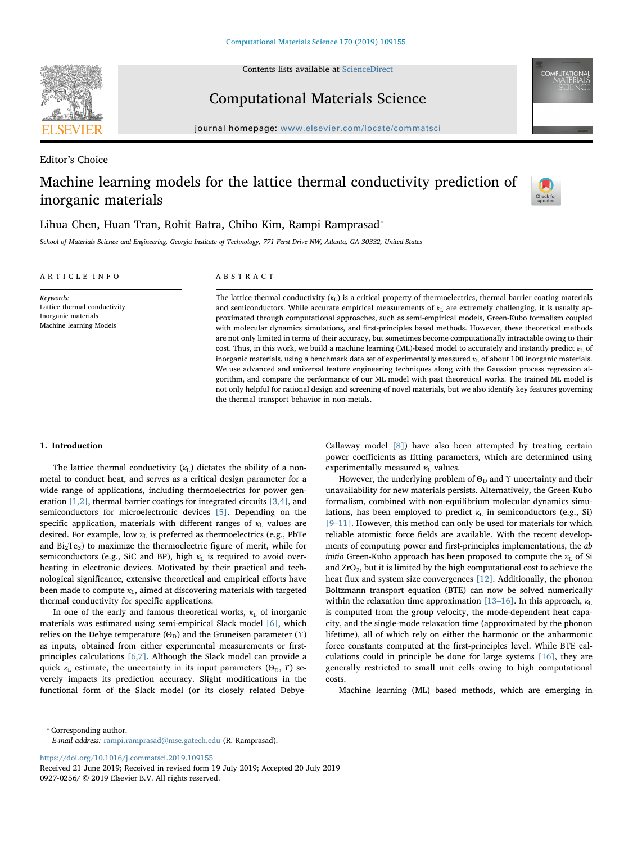Contents lists available at [ScienceDirect](http://www.sciencedirect.com/science/journal/09270256)



Computational Materials Science

journal homepage: [www.elsevier.com/locate/commatsci](https://www.elsevier.com/locate/commatsci)

Editor's Choice

# Machine learning models for the lattice thermal conductivity prediction of inorganic materials



## Lihua Chen, Huan Tran, Rohit Batra, Chiho Kim, Rampi Ramprasad<sup>®</sup>

School of Materials Science and Engineering, Georgia Institute of Technology, 771 Ferst Drive NW, Atlanta, GA 30332, United States

| ARTICLE INFO                                                                                | ABSTRACT                                                                                                                                                                                                                                                                                                                                                                                                                                                                                                                                                                                                                                                                                                                                                                                                                                                                                                                                                                                                                                                                                                                                                                                                                                          |  |  |
|---------------------------------------------------------------------------------------------|---------------------------------------------------------------------------------------------------------------------------------------------------------------------------------------------------------------------------------------------------------------------------------------------------------------------------------------------------------------------------------------------------------------------------------------------------------------------------------------------------------------------------------------------------------------------------------------------------------------------------------------------------------------------------------------------------------------------------------------------------------------------------------------------------------------------------------------------------------------------------------------------------------------------------------------------------------------------------------------------------------------------------------------------------------------------------------------------------------------------------------------------------------------------------------------------------------------------------------------------------|--|--|
| Keywords:<br>Lattice thermal conductivity<br>Inorganic materials<br>Machine learning Models | The lattice thermal conductivity $(x_1)$ is a critical property of thermoelectrics, thermal barrier coating materials<br>and semiconductors. While accurate empirical measurements of $\kappa_L$ are extremely challenging, it is usually ap-<br>proximated through computational approaches, such as semi-empirical models, Green-Kubo formalism coupled<br>with molecular dynamics simulations, and first-principles based methods. However, these theoretical methods<br>are not only limited in terms of their accuracy, but sometimes become computationally intractable owing to their<br>cost. Thus, in this work, we build a machine learning (ML)-based model to accurately and instantly predict $\kappa_L$ of<br>inorganic materials, using a benchmark data set of experimentally measured $x_L$ of about 100 inorganic materials.<br>We use advanced and universal feature engineering techniques along with the Gaussian process regression al-<br>gorithm, and compare the performance of our ML model with past theoretical works. The trained ML model is<br>not only helpful for rational design and screening of novel materials, but we also identify key features governing<br>the thermal transport behavior in non-metals. |  |  |

## 1. Introduction

The lattice thermal conductivity  $(\kappa_L)$  dictates the ability of a nonmetal to conduct heat, and serves as a critical design parameter for a wide range of applications, including thermoelectrics for power generation  $[1,2]$ , thermal barrier coatings for integrated circuits  $[3,4]$ , and semiconductors for microelectronic devices [\[5\].](#page-4-2) Depending on the specific application, materials with different ranges of  $\kappa_L$  values are desired. For example, low  $\kappa_L$  is preferred as thermoelectrics (e.g., PbTe and  $Bi<sub>2</sub>Te<sub>3</sub>$ ) to maximize the thermoelectric figure of merit, while for semiconductors (e.g., SiC and BP), high *κ*<sub>L</sub> is required to avoid overheating in electronic devices. Motivated by their practical and technological significance, extensive theoretical and empirical efforts have been made to compute  $\kappa_L$ , aimed at discovering materials with targeted thermal conductivity for specific applications.

In one of the early and famous theoretical works,  $\kappa_L$  of inorganic materials was estimated using semi-empirical Slack model [\[6\],](#page-4-3) which relies on the Debye temperature ( $\Theta_D$ ) and the Gruneisen parameter (Υ) as inputs, obtained from either experimental measurements or firstprinciples calculations [\[6,7\].](#page-4-3) Although the Slack model can provide a quick  $\kappa$ <sub>L</sub> estimate, the uncertainty in its input parameters ( $\Theta$ <sub>D</sub>,  $\Upsilon$ ) severely impacts its prediction accuracy. Slight modifications in the functional form of the Slack model (or its closely related DebyeCallaway model [\[8\]\)](#page-4-4) have also been attempted by treating certain power coefficients as fitting parameters, which are determined using experimentally measured  $\kappa_L$  values.

However, the underlying problem of  $\Theta_D$  and  $\Upsilon$  uncertainty and their unavailability for new materials persists. Alternatively, the Green-Kubo formalism, combined with non-equilibrium molecular dynamics simulations, has been employed to predict *κ*<sub>L</sub> in semiconductors (e.g., Si) [9–[11\].](#page-4-5) However, this method can only be used for materials for which reliable atomistic force fields are available. With the recent developments of computing power and first-principles implementations, the ab initio Green-Kubo approach has been proposed to compute the *κ*<sub>L</sub> of Si and ZrO2, but it is limited by the high computational cost to achieve the heat flux and system size convergences [\[12\].](#page-4-6) Additionally, the phonon Boltzmann transport equation (BTE) can now be solved numerically within the relaxation time approximation  $[13–16]$ . In this approach,  $\kappa_L$ is computed from the group velocity, the mode-dependent heat capacity, and the single-mode relaxation time (approximated by the phonon lifetime), all of which rely on either the harmonic or the anharmonic force constants computed at the first-principles level. While BTE calculations could in principle be done for large systems [\[16\]](#page-4-8), they are generally restricted to small unit cells owing to high computational costs.

Machine learning (ML) based methods, which are emerging in

<span id="page-0-0"></span>⁎ Corresponding author.

<https://doi.org/10.1016/j.commatsci.2019.109155>

Received 21 June 2019; Received in revised form 19 July 2019; Accepted 20 July 2019 0927-0256/ © 2019 Elsevier B.V. All rights reserved.

E-mail address: [rampi.ramprasad@mse.gatech.edu](mailto:rampi.ramprasad@mse.gatech.edu) (R. Ramprasad).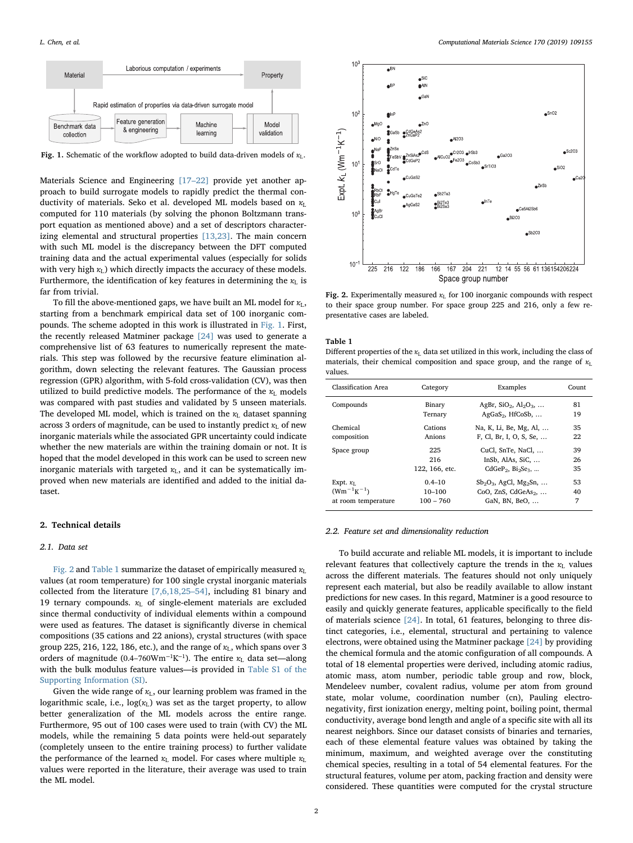<span id="page-1-0"></span>

Fig. 1. Schematic of the workflow adopted to build data-driven models of *κ*L.

Materials Science and Engineering [\[17](#page-4-9)–22] provide yet another approach to build surrogate models to rapidly predict the thermal conductivity of materials. Seko et al. developed ML models based on *κ*<sub>L</sub> computed for 110 materials (by solving the phonon Boltzmann transport equation as mentioned above) and a set of descriptors characterizing elemental and structural properties [\[13,23\].](#page-4-7) The main concern with such ML model is the discrepancy between the DFT computed training data and the actual experimental values (especially for solids with very high *κ*<sub>L</sub>) which directly impacts the accuracy of these models. Furthermore, the identification of key features in determining the  $\kappa$ <sub>L</sub> is far from trivial.

To fill the above-mentioned gaps, we have built an ML model for  $κ$ <sub>L</sub>, starting from a benchmark empirical data set of 100 inorganic compounds. The scheme adopted in this work is illustrated in [Fig. 1.](#page-1-0) First, the recently released Matminer package [\[24\]](#page-4-10) was used to generate a comprehensive list of 63 features to numerically represent the materials. This step was followed by the recursive feature elimination algorithm, down selecting the relevant features. The Gaussian process regression (GPR) algorithm, with 5-fold cross-validation (CV), was then utilized to build predictive models. The performance of the *κ*<sub>L</sub> models was compared with past studies and validated by 5 unseen materials. The developed ML model, which is trained on the  $\kappa_L$  dataset spanning across 3 orders of magnitude, can be used to instantly predict *κ*<sub>L</sub> of new inorganic materials while the associated GPR uncertainty could indicate whether the new materials are within the training domain or not. It is hoped that the model developed in this work can be used to screen new inorganic materials with targeted  $\kappa$ <sub>L</sub>, and it can be systematically improved when new materials are identified and added to the initial dataset.

## 2. Technical details

#### 2.1. Data set

[Fig. 2](#page-1-1) and [Table 1](#page-1-2) summarize the dataset of empirically measured *κ*<sup>L</sup> values (at room temperature) for 100 single crystal inorganic materials collected from the literature [\[7,6,18,25](#page-4-11)–54], including 81 binary and 19 ternary compounds. *κ*<sub>L</sub> of single-element materials are excluded since thermal conductivity of individual elements within a compound were used as features. The dataset is significantly diverse in chemical compositions (35 cations and 22 anions), crystal structures (with space group 225, 216, 122, 186, etc.), and the range of *κ*L, which spans over 3 orders of magnitude (0.4–760Wm<sup>-1</sup>K<sup>-1</sup>). The entire *κ*<sub>L</sub> data set—along with the bulk modulus feature values—is provided in Table S1 of the Supporting Information (SI).

Given the wide range of *κ*<sub>L</sub>, our learning problem was framed in the logarithmic scale, i.e.,  $log(\kappa_L)$  was set as the target property, to allow better generalization of the ML models across the entire range. Furthermore, 95 out of 100 cases were used to train (with CV) the ML models, while the remaining 5 data points were held-out separately (completely unseen to the entire training process) to further validate the performance of the learned  $\kappa$ <sub>L</sub> model. For cases where multiple  $\kappa$ <sub>L</sub> values were reported in the literature, their average was used to train the ML model.

<span id="page-1-1"></span>

Fig. 2. Experimentally measured  $\kappa_L$  for 100 inorganic compounds with respect to their space group number. For space group 225 and 216, only a few representative cases are labeled.

#### <span id="page-1-2"></span>Table 1

Different properties of the  $\kappa_L$  data set utilized in this work, including the class of materials, their chemical composition and space group, and the range of  $\kappa_L$ values.

| Classification Area | Category       | Examples                                               | Count |
|---------------------|----------------|--------------------------------------------------------|-------|
| Compounds           | Binary         | AgBr, $SiO2$ , $Al2O3$ ,                               | 81    |
|                     | Ternary        | $AgGaS2$ , HfCoSb,                                     | 19    |
| Chemical            | Cations        | Na, K, Li, Be, Mg, Al,                                 | 35    |
| composition         | Anions         | F, Cl, Br, I, O, S, Se,                                | 22    |
| Space group         | 225            | CuCl, SnTe, NaCl,                                      | 39    |
|                     | 216            | InSb, AlAs, SiC,                                       | 26    |
|                     | 122, 166, etc. | CdGeP <sub>2</sub> , Bi <sub>2</sub> Se <sub>3</sub> , | 35    |
| Expt. $\kappa_L$    | $0.4 - 10$     | $Sb_2O_3$ , AgCl, Mg <sub>2</sub> Sn,                  | 53    |
| $(Wm^{-1}K^{-1})$   | $10 - 100$     | CoO, ZnS, CdGeAs <sub>2</sub> ,                        | 40    |
| at room temperature | $100 - 760$    | GaN, BN, BeO,                                          | 7     |

#### 2.2. Feature set and dimensionality reduction

To build accurate and reliable ML models, it is important to include relevant features that collectively capture the trends in the  $\kappa_L$  values across the different materials. The features should not only uniquely represent each material, but also be readily available to allow instant predictions for new cases. In this regard, Matminer is a good resource to easily and quickly generate features, applicable specifically to the field of materials science [\[24\].](#page-4-10) In total, 61 features, belonging to three distinct categories, i.e., elemental, structural and pertaining to valence electrons, were obtained using the Matminer package [\[24\]](#page-4-10) by providing the chemical formula and the atomic configuration of all compounds. A total of 18 elemental properties were derived, including atomic radius, atomic mass, atom number, periodic table group and row, block, Mendeleev number, covalent radius, volume per atom from ground state, molar volume, coordination number (cn), Pauling electronegativity, first ionization energy, melting point, boiling point, thermal conductivity, average bond length and angle of a specific site with all its nearest neighbors. Since our dataset consists of binaries and ternaries, each of these elemental feature values was obtained by taking the minimum, maximum, and weighted average over the constituting chemical species, resulting in a total of 54 elemental features. For the structural features, volume per atom, packing fraction and density were considered. These quantities were computed for the crystal structure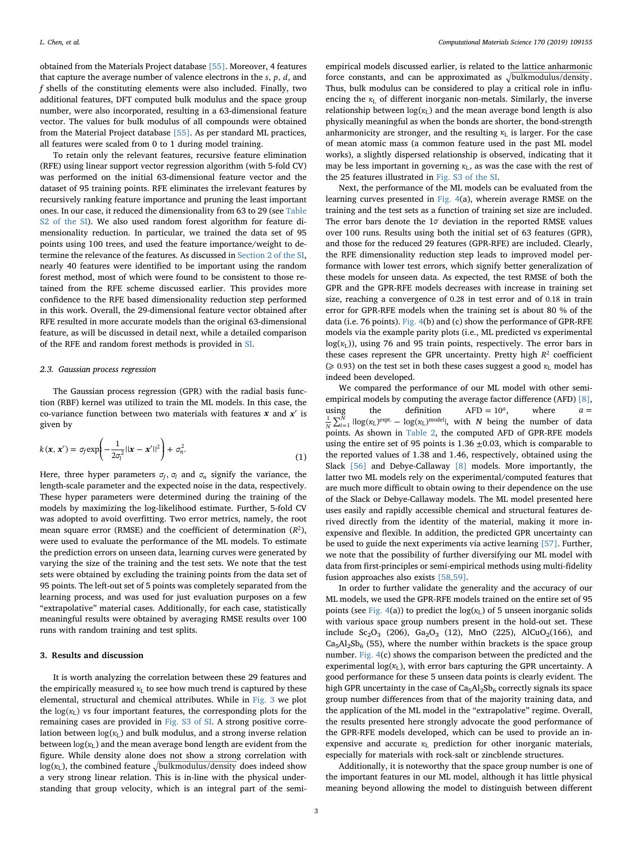obtained from the Materials Project database [\[55\]](#page-5-0). Moreover, 4 features that capture the average number of valence electrons in the *s*, *p*, *d*, and f shells of the constituting elements were also included. Finally, two additional features, DFT computed bulk modulus and the space group number, were also incorporated, resulting in a 63-dimensional feature vector. The values for bulk modulus of all compounds were obtained from the Material Project database [\[55\].](#page-5-0) As per standard ML practices, all features were scaled from 0 to 1 during model training.

To retain only the relevant features, recursive feature elimination (RFE) using linear support vector regression algorithm (with 5-fold CV) was performed on the initial 63-dimensional feature vector and the dataset of 95 training points. RFE eliminates the irrelevant features by recursively ranking feature importance and pruning the least important ones. In our case, it reduced the dimensionality from 63 to 29 (see Table S2 of the SI). We also used random forest algorithm for feature dimensionality reduction. In particular, we trained the data set of 95 points using 100 trees, and used the feature importance/weight to determine the relevance of the features. As discussed in Section 2 of the SI, nearly 40 features were identified to be important using the random forest method, most of which were found to be consistent to those retained from the RFE scheme discussed earlier. This provides more confidence to the RFE based dimensionality reduction step performed in this work. Overall, the 29-dimensional feature vector obtained after RFE resulted in more accurate models than the original 63-dimensional feature, as will be discussed in detail next, while a detailed comparison of the RFE and random forest methods is provided in SI.

## 2.3. Gaussian process regression

The Gaussian process regression (GPR) with the radial basis function (RBF) kernel was utilized to train the ML models. In this case, the co-variance function between two materials with features *x* and *x*′ is given by

$$
k(\mathbf{x}, \mathbf{x}') = \sigma_f \exp\left(-\frac{1}{2\sigma_l^2}||\mathbf{x} - \mathbf{x}'||^2\right) + \sigma_n^2.
$$
 (1)

Here, three hyper parameters  $\sigma_f$ ,  $\sigma_l$  and  $\sigma_n$  signify the variance, the length-scale parameter and the expected noise in the data, respectively. These hyper parameters were determined during the training of the models by maximizing the log-likelihood estimate. Further, 5-fold CV was adopted to avoid overfitting. Two error metrics, namely, the root mean square error (RMSE) and the coefficient of determination  $(R^2)$ , were used to evaluate the performance of the ML models. To estimate the prediction errors on unseen data, learning curves were generated by varying the size of the training and the test sets. We note that the test sets were obtained by excluding the training points from the data set of 95 points. The left-out set of 5 points was completely separated from the learning process, and was used for just evaluation purposes on a few "extrapolative" material cases. Additionally, for each case, statistically meaningful results were obtained by averaging RMSE results over 100 runs with random training and test splits.

## 3. Results and discussion

It is worth analyzing the correlation between these 29 features and the empirically measured  $\kappa$ <sub>L</sub> to see how much trend is captured by these elemental, structural and chemical attributes. While in [Fig. 3](#page-3-0) we plot the  $log( $\kappa$ )$  vs four important features, the corresponding plots for the remaining cases are provided in Fig. S3 of SI. A strong positive correlation between  $log( $\kappa$ <sub>L</sub>)$  and bulk modulus, and a strong inverse relation between  $log( $\kappa_L$ )$  and the mean average bond length are evident from the figure. While density alone does not show a strong correlation with  $log(*κ*<sub>L</sub>)$ , the combined feature  $\sqrt{\text{bulkmodulus/density}}$  does indeed show a very strong linear relation. This is in-line with the physical understanding that group velocity, which is an integral part of the semi-

empirical models discussed earlier, is related to the lattice anharmonic force constants, and can be approximated as  $\sqrt{\text{bulkmodulus/density}}$ . Thus, bulk modulus can be considered to play a critical role in influencing the *κ*<sub>L</sub> of different inorganic non-metals. Similarly, the inverse relationship between  $log(x_L)$  and the mean average bond length is also physically meaningful as when the bonds are shorter, the bond-strength anharmonicity are stronger, and the resulting  $\kappa_L$  is larger. For the case of mean atomic mass (a common feature used in the past ML model works), a slightly dispersed relationship is observed, indicating that it may be less important in governing  $\kappa_L$ , as was the case with the rest of the 25 features illustrated in Fig. S3 of the SI.

Next, the performance of the ML models can be evaluated from the learning curves presented in [Fig. 4\(](#page-3-1)a), wherein average RMSE on the training and the test sets as a function of training set size are included. The error bars denote the 1*σ* deviation in the reported RMSE values over 100 runs. Results using both the initial set of 63 features (GPR), and those for the reduced 29 features (GPR-RFE) are included. Clearly, the RFE dimensionality reduction step leads to improved model performance with lower test errors, which signify better generalization of these models for unseen data. As expected, the test RMSE of both the GPR and the GPR-RFE models decreases with increase in training set size, reaching a convergence of 0.28 in test error and of 0.18 in train error for GPR-RFE models when the training set is about 80 % of the data (i.e. 76 points). [Fig. 4](#page-3-1)(b) and (c) show the performance of GPR-RFE models via the example parity plots (i.e., ML predicted vs experimental  $log(*κ*<sub>L</sub>)$ ), using 76 and 95 train points, respectively. The error bars in these cases represent the GPR uncertainty. Pretty high *R*<sup>2</sup> coefficient ( $\geq$  0.93) on the test set in both these cases suggest a good  $\kappa_L$  model has indeed been developed.

We compared the performance of our ML model with other semiempirical models by computing the average factor difference (AFD) [\[8\]](#page-4-4), using the definition  $AFD = 10^a$ , where  $a =$  $\frac{1}{N}\sum_{i=1}^{N}$   $\log(\kappa_L)^{\exp t}$  –  $\log(\kappa_L)^{\text{model}}$ , with N being the number of data points. As shown in [Table 2,](#page-4-12) the computed AFD of GPR-RFE models using the entire set of 95 points is  $1.36 \pm 0.03$ , which is comparable to the reported values of 1.38 and 1.46, respectively, obtained using the Slack [\[56\]](#page-5-1) and Debye-Callaway [\[8\]](#page-4-4) models. More importantly, the latter two ML models rely on the experimental/computed features that are much more difficult to obtain owing to their dependence on the use of the Slack or Debye-Callaway models. The ML model presented here uses easily and rapidly accessible chemical and structural features derived directly from the identity of the material, making it more inexpensive and flexible. In addition, the predicted GPR uncertainty can be used to guide the next experiments via active learning [\[57\].](#page-5-2) Further, we note that the possibility of further diversifying our ML model with data from first-principles or semi-empirical methods using multi-fidelity fusion approaches also exists [\[58,59\].](#page-5-3)

In order to further validate the generality and the accuracy of our ML models, we used the GPR-RFE models trained on the entire set of 95 points (see [Fig. 4\(](#page-3-1)a)) to predict the log( $κ$ <sup>L</sup>) of 5 unseen inorganic solids with various space group numbers present in the hold-out set. These include  $Sc_2O_3$  (206),  $Ga_2O_3$  (12), MnO (225), AlCuO<sub>2</sub>(166), and  $Ca<sub>5</sub>Al<sub>2</sub>Sb<sub>6</sub>$  (55), where the number within brackets is the space group number. [Fig. 4](#page-3-1)(c) shows the comparison between the predicted and the experimental  $log( $\kappa_L$ )$ , with error bars capturing the GPR uncertainty. A good performance for these 5 unseen data points is clearly evident. The high GPR uncertainty in the case of  $Ca<sub>5</sub>Al<sub>2</sub>Sb<sub>6</sub>$  correctly signals its space group number differences from that of the majority training data, and the application of the ML model in the "extrapolative" regime. Overall, the results presented here strongly advocate the good performance of the GPR-RFE models developed, which can be used to provide an inexpensive and accurate *κ*<sub>L</sub> prediction for other inorganic materials, especially for materials with rock-salt or zincblende structures.

Additionally, it is noteworthy that the space group number is one of the important features in our ML model, although it has little physical meaning beyond allowing the model to distinguish between different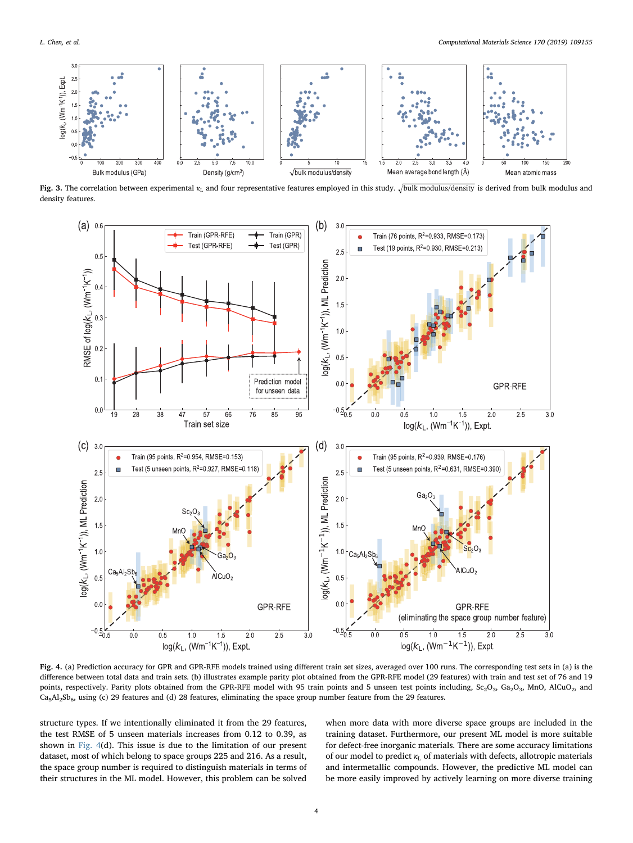<span id="page-3-0"></span>

Fig. 3. The correlation between experimental  $\kappa_1$  and four representative features employed in this study.  $\sqrt{\frac{bulk \text{ modulus}}{\text{ modulus}}}$  is derived from bulk modulus and density features.

<span id="page-3-1"></span>

Fig. 4. (a) Prediction accuracy for GPR and GPR-RFE models trained using different train set sizes, averaged over 100 runs. The corresponding test sets in (a) is the difference between total data and train sets. (b) illustrates example parity plot obtained from the GPR-RFE model (29 features) with train and test set of 76 and 19 points, respectively. Parity plots obtained from the GPR-RFE model with 95 train points and 5 unseen test points including, Sc<sub>2</sub>O<sub>3</sub>, Ga<sub>2</sub>O<sub>3</sub>, MnO, AlCuO<sub>2</sub>, and  $Ca<sub>5</sub>A<sub>2</sub>Sh<sub>6</sub>$ , using (c) 29 features and (d) 28 features, eliminating the space group number feature from the 29 features.

structure types. If we intentionally eliminated it from the 29 features, the test RMSE of 5 unseen materials increases from 0.12 to 0.39, as shown in [Fig. 4\(](#page-3-1)d). This issue is due to the limitation of our present dataset, most of which belong to space groups 225 and 216. As a result, the space group number is required to distinguish materials in terms of their structures in the ML model. However, this problem can be solved when more data with more diverse space groups are included in the training dataset. Furthermore, our present ML model is more suitable for defect-free inorganic materials. There are some accuracy limitations of our model to predict *κ*<sub>L</sub> of materials with defects, allotropic materials and intermetallic compounds. However, the predictive ML model can be more easily improved by actively learning on more diverse training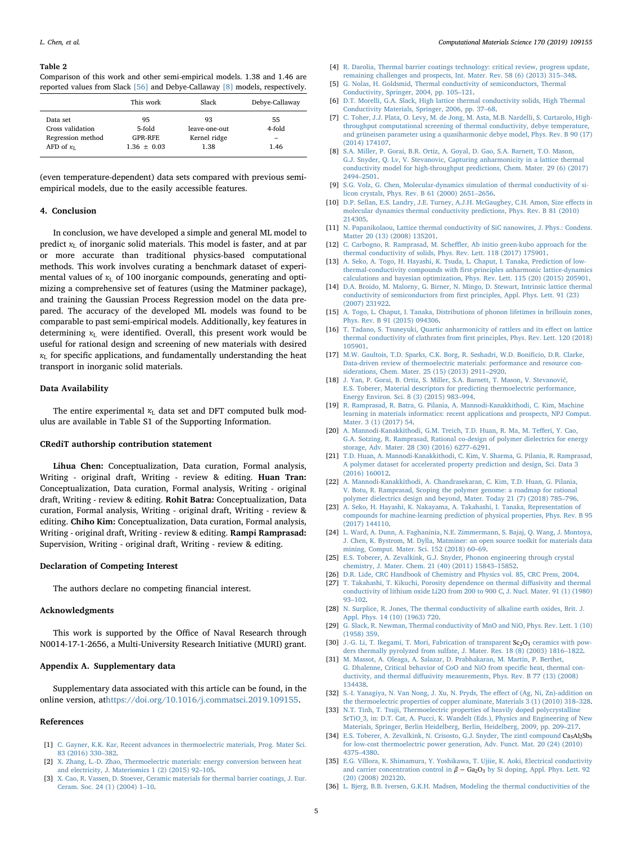#### <span id="page-4-12"></span>Table 2

Comparison of this work and other semi-empirical models. 1.38 and 1.46 are reported values from Slack [\[56\]](#page-5-1) and Debye-Callaway [\[8\]](#page-4-4) models, respectively.

|                   | This work       | Slack         | Debye-Callaway |
|-------------------|-----------------|---------------|----------------|
| Data set          | 95              | 93            | 55             |
| Cross validation  | 5-fold          | leave-one-out | 4-fold         |
| Regression method | <b>GPR-RFE</b>  | Kernel ridge  | -              |
| AFD of $\kappa_L$ | $1.36 \pm 0.03$ | 1.38          | 1.46           |

(even temperature-dependent) data sets compared with previous semiempirical models, due to the easily accessible features.

#### 4. Conclusion

In conclusion, we have developed a simple and general ML model to predict  $\kappa$ <sub>L</sub> of inorganic solid materials. This model is faster, and at par or more accurate than traditional physics-based computational methods. This work involves curating a benchmark dataset of experimental values of *κ*<sub>L</sub> of 100 inorganic compounds, generating and optimizing a comprehensive set of features (using the Matminer package), and training the Gaussian Process Regression model on the data prepared. The accuracy of the developed ML models was found to be comparable to past semi-empirical models. Additionally, key features in determining *κ*<sub>L</sub> were identified. Overall, this present work would be useful for rational design and screening of new materials with desired *κ*<sup>L</sup> for specific applications, and fundamentally understanding the heat transport in inorganic solid materials.

## Data Availability

The entire experimental *κ*<sub>L</sub> data set and DFT computed bulk modulus are available in Table S1 of the Supporting Information.

## CRediT authorship contribution statement

Lihua Chen: Conceptualization, Data curation, Formal analysis, Writing - original draft, Writing - review & editing. Huan Tran: Conceptualization, Data curation, Formal analysis, Writing - original draft, Writing - review & editing. Rohit Batra: Conceptualization, Data curation, Formal analysis, Writing - original draft, Writing - review & editing. Chiho Kim: Conceptualization, Data curation, Formal analysis, Writing - original draft, Writing - review & editing. Rampi Ramprasad: Supervision, Writing - original draft, Writing - review & editing.

## Declaration of Competing Interest

The authors declare no competing financial interest.

#### Acknowledgments

This work is supported by the Office of Naval Research through N0014-17-1-2656, a Multi-University Research Initiative (MURI) grant.

#### Appendix A. Supplementary data

Supplementary data associated with this article can be found, in the online version, at[https://doi.org/10.1016/j.commatsci.2019.109155.](https://doi.org/10.1016/j.commatsci.2019.109155)

#### References

- <span id="page-4-0"></span>[1] [C. Gayner, K.K. Kar, Recent advances in thermoelectric materials, Prog. Mater Sci.](http://refhub.elsevier.com/S0927-0256(19)30454-9/h0005) [83 \(2016\) 330](http://refhub.elsevier.com/S0927-0256(19)30454-9/h0005)–382.
- [2] [X. Zhang, L.-D. Zhao, Thermoelectric materials: energy conversion between heat](http://refhub.elsevier.com/S0927-0256(19)30454-9/h0010) [and electricity, J. Materiomics 1 \(2\) \(2015\) 92](http://refhub.elsevier.com/S0927-0256(19)30454-9/h0010)–105.
- <span id="page-4-1"></span>[3] [X. Cao, R. Vassen, D. Stoever, Ceramic materials for thermal barrier coatings, J. Eur.](http://refhub.elsevier.com/S0927-0256(19)30454-9/h0015) [Ceram. Soc. 24 \(1\) \(2004\) 1](http://refhub.elsevier.com/S0927-0256(19)30454-9/h0015)–10.
- [4] [R. Darolia, Thermal barrier coatings technology: critical review, progress update,](http://refhub.elsevier.com/S0927-0256(19)30454-9/h0020)
- <span id="page-4-2"></span>[remaining challenges and prospects, Int. Mater. Rev. 58 \(6\) \(2013\) 315](http://refhub.elsevier.com/S0927-0256(19)30454-9/h0020)–348. [5] [G. Nolas, H. Goldsmid, Thermal conductivity of semiconductors, Thermal](http://refhub.elsevier.com/S0927-0256(19)30454-9/h0025)
- <span id="page-4-3"></span>[Conductivity, Springer, 2004, pp. 105](http://refhub.elsevier.com/S0927-0256(19)30454-9/h0025)–121. [6] [D.T. Morelli, G.A. Slack, High lattice thermal conductivity solids, High Thermal](http://refhub.elsevier.com/S0927-0256(19)30454-9/h0030) [Conductivity Materials, Springer, 2006, pp. 37](http://refhub.elsevier.com/S0927-0256(19)30454-9/h0030)–68.
- <span id="page-4-11"></span>[7] [C. Toher, J.J. Plata, O. Levy, M. de Jong, M. Asta, M.B. Nardelli, S. Curtarolo, High](http://refhub.elsevier.com/S0927-0256(19)30454-9/h0035)[throughput computational screening of thermal conductivity, debye temperature,](http://refhub.elsevier.com/S0927-0256(19)30454-9/h0035) [and grüneisen parameter using a quasiharmonic debye model, Phys. Rev. B 90 \(17\)](http://refhub.elsevier.com/S0927-0256(19)30454-9/h0035) [\(2014\) 174107.](http://refhub.elsevier.com/S0927-0256(19)30454-9/h0035)
- <span id="page-4-4"></span>[8] [S.A. Miller, P. Gorai, B.R. Ortiz, A. Goyal, D. Gao, S.A. Barnett, T.O. Mason,](http://refhub.elsevier.com/S0927-0256(19)30454-9/h0040) [G.J. Snyder, Q. Lv, V. Stevanovic, Capturing anharmonicity in a lattice thermal](http://refhub.elsevier.com/S0927-0256(19)30454-9/h0040) [conductivity model for high-throughput predictions, Chem. Mater. 29 \(6\) \(2017\)](http://refhub.elsevier.com/S0927-0256(19)30454-9/h0040) 2494–[2501.](http://refhub.elsevier.com/S0927-0256(19)30454-9/h0040)
- <span id="page-4-5"></span>[9] [S.G. Volz, G. Chen, Molecular-dynamics simulation of thermal conductivity of si](http://refhub.elsevier.com/S0927-0256(19)30454-9/h0045)[licon crystals, Phys. Rev. B 61 \(2000\) 2651](http://refhub.elsevier.com/S0927-0256(19)30454-9/h0045)–2656.
- [10] [D.P. Sellan, E.S. Landry, J.E. Turney, A.J.H. McGaughey, C.H. Amon, Size e](http://refhub.elsevier.com/S0927-0256(19)30454-9/h0050)ffects in [molecular dynamics thermal conductivity predictions, Phys. Rev. B 81 \(2010\)](http://refhub.elsevier.com/S0927-0256(19)30454-9/h0050) [214305.](http://refhub.elsevier.com/S0927-0256(19)30454-9/h0050)
- [11] [N. Papanikolaou, Lattice thermal conductivity of SiC nanowires, J. Phys.: Condens.](http://refhub.elsevier.com/S0927-0256(19)30454-9/h0055) [Matter 20 \(13\) \(2008\) 135201.](http://refhub.elsevier.com/S0927-0256(19)30454-9/h0055)
- <span id="page-4-6"></span>[12] C. Carbogno, R. Ramprasad, M. Scheffl[er, Ab initio green-kubo approach for the](http://refhub.elsevier.com/S0927-0256(19)30454-9/h0060) [thermal conductivity of solids, Phys. Rev. Lett. 118 \(2017\) 175901.](http://refhub.elsevier.com/S0927-0256(19)30454-9/h0060)
- <span id="page-4-7"></span>[13] [A. Seko, A. Togo, H. Hayashi, K. Tsuda, L. Chaput, I. Tanaka, Prediction of low](http://refhub.elsevier.com/S0927-0256(19)30454-9/h0065)thermal-conductivity compounds with fi[rst-principles anharmonic lattice-dynamics](http://refhub.elsevier.com/S0927-0256(19)30454-9/h0065) [calculations and bayesian optimization, Phys. Rev. Lett. 115 \(20\) \(2015\) 205901.](http://refhub.elsevier.com/S0927-0256(19)30454-9/h0065)
- [14] [D.A. Broido, M. Malorny, G. Birner, N. Mingo, D. Stewart, Intrinsic lattice thermal](http://refhub.elsevier.com/S0927-0256(19)30454-9/h0070) conductivity of semiconductors from fi[rst principles, Appl. Phys. Lett. 91 \(23\)](http://refhub.elsevier.com/S0927-0256(19)30454-9/h0070) [\(2007\) 231922.](http://refhub.elsevier.com/S0927-0256(19)30454-9/h0070)
- [15] [A. Togo, L. Chaput, I. Tanaka, Distributions of phonon lifetimes in brillouin zones,](http://refhub.elsevier.com/S0927-0256(19)30454-9/h0075) [Phys. Rev. B 91 \(2015\) 094306.](http://refhub.elsevier.com/S0927-0256(19)30454-9/h0075)
- <span id="page-4-8"></span>[16] [T. Tadano, S. Tsuneyuki, Quartic anharmonicity of rattlers and its e](http://refhub.elsevier.com/S0927-0256(19)30454-9/h0080)ffect on lattice thermal conductivity of clathrates from fi[rst principles, Phys. Rev. Lett. 120 \(2018\)](http://refhub.elsevier.com/S0927-0256(19)30454-9/h0080) [105901.](http://refhub.elsevier.com/S0927-0256(19)30454-9/h0080)
- <span id="page-4-9"></span>[17] [M.W. Gaultois, T.D. Sparks, C.K. Borg, R. Seshadri, W.D. Boni](http://refhub.elsevier.com/S0927-0256(19)30454-9/h0085)ficio, D.R. Clarke, [Data-driven review of thermoelectric materials: performance and resource con](http://refhub.elsevier.com/S0927-0256(19)30454-9/h0085)[siderations, Chem. Mater. 25 \(15\) \(2013\) 2911](http://refhub.elsevier.com/S0927-0256(19)30454-9/h0085)–2920.
- [18] [J. Yan, P. Gorai, B. Ortiz, S. Miller, S.A. Barnett, T. Mason, V. Stevanovi](http://refhub.elsevier.com/S0927-0256(19)30454-9/h0090)ć, [E.S. Toberer, Material descriptors for predicting thermoelectric performance,](http://refhub.elsevier.com/S0927-0256(19)30454-9/h0090) [Energy Environ. Sci. 8 \(3\) \(2015\) 983](http://refhub.elsevier.com/S0927-0256(19)30454-9/h0090)–994.
- [19] [R. Ramprasad, R. Batra, G. Pilania, A. Mannodi-Kanakkithodi, C. Kim, Machine](http://refhub.elsevier.com/S0927-0256(19)30454-9/h0095) [learning in materials informatics: recent applications and prospects, NPJ Comput.](http://refhub.elsevier.com/S0927-0256(19)30454-9/h0095) [Mater. 3 \(1\) \(2017\) 54.](http://refhub.elsevier.com/S0927-0256(19)30454-9/h0095)
- [20] [A. Mannodi-Kanakkithodi, G.M. Treich, T.D. Huan, R. Ma, M. Te](http://refhub.elsevier.com/S0927-0256(19)30454-9/h0100)fferi, Y. Cao, [G.A. Sotzing, R. Ramprasad, Rational co-design of polymer dielectrics for energy](http://refhub.elsevier.com/S0927-0256(19)30454-9/h0100) [storage, Adv. Mater. 28 \(30\) \(2016\) 6277](http://refhub.elsevier.com/S0927-0256(19)30454-9/h0100)–6291.
- [21] [T.D. Huan, A. Mannodi-Kanakkithodi, C. Kim, V. Sharma, G. Pilania, R. Ramprasad,](http://refhub.elsevier.com/S0927-0256(19)30454-9/h0105) [A polymer dataset for accelerated property prediction and design, Sci. Data 3](http://refhub.elsevier.com/S0927-0256(19)30454-9/h0105) [\(2016\) 160012.](http://refhub.elsevier.com/S0927-0256(19)30454-9/h0105)
- [22] [A. Mannodi-Kanakkithodi, A. Chandrasekaran, C. Kim, T.D. Huan, G. Pilania,](http://refhub.elsevier.com/S0927-0256(19)30454-9/h0110) [V. Botu, R. Ramprasad, Scoping the polymer genome: a roadmap for rational](http://refhub.elsevier.com/S0927-0256(19)30454-9/h0110) [polymer dielectrics design and beyond, Mater. Today 21 \(7\) \(2018\) 785](http://refhub.elsevier.com/S0927-0256(19)30454-9/h0110)–796.
- [23] [A. Seko, H. Hayashi, K. Nakayama, A. Takahashi, I. Tanaka, Representation of](http://refhub.elsevier.com/S0927-0256(19)30454-9/h0115) [compounds for machine-learning prediction of physical properties, Phys. Rev. B 95](http://refhub.elsevier.com/S0927-0256(19)30454-9/h0115) [\(2017\) 144110.](http://refhub.elsevier.com/S0927-0256(19)30454-9/h0115)
- <span id="page-4-10"></span>[24] [L. Ward, A. Dunn, A. Faghaninia, N.E. Zimmermann, S. Bajaj, Q. Wang, J. Montoya,](http://refhub.elsevier.com/S0927-0256(19)30454-9/h0120) [J. Chen, K. Bystrom, M. Dylla, Matminer: an open source toolkit for materials data](http://refhub.elsevier.com/S0927-0256(19)30454-9/h0120) [mining, Comput. Mater. Sci. 152 \(2018\) 60](http://refhub.elsevier.com/S0927-0256(19)30454-9/h0120)–69.
- [25] [E.S. Toberer, A. Zevalkink, G.J. Snyder, Phonon engineering through crystal](http://refhub.elsevier.com/S0927-0256(19)30454-9/h0125) [chemistry, J. Mater. Chem. 21 \(40\) \(2011\) 15843](http://refhub.elsevier.com/S0927-0256(19)30454-9/h0125)–15852.
- [26] [D.R. Lide, CRC Handbook of Chemistry and Physics vol. 85, CRC Press, 2004.](http://refhub.elsevier.com/S0927-0256(19)30454-9/h0130)
- [27] [T. Takahashi, T. Kikuchi, Porosity dependence on thermal di](http://refhub.elsevier.com/S0927-0256(19)30454-9/h0135)ffusivity and thermal [conductivity of lithium oxide Li2O from 200 to 900 C, J. Nucl. Mater. 91 \(1\) \(1980\)](http://refhub.elsevier.com/S0927-0256(19)30454-9/h0135) 93–[102.](http://refhub.elsevier.com/S0927-0256(19)30454-9/h0135)
- [28] [N. Surplice, R. Jones, The thermal conductivity of alkaline earth oxides, Brit. J.](http://refhub.elsevier.com/S0927-0256(19)30454-9/h0140) [Appl. Phys. 14 \(10\) \(1963\) 720.](http://refhub.elsevier.com/S0927-0256(19)30454-9/h0140)
- [29] [G. Slack, R. Newman, Thermal conductivity of MnO and NiO, Phys. Rev. Lett. 1 \(10\)](http://refhub.elsevier.com/S0927-0256(19)30454-9/h0145) [\(1958\) 359.](http://refhub.elsevier.com/S0927-0256(19)30454-9/h0145)
- [30] [J.-G. Li, T. Ikegami, T. Mori, Fabrication of transparent](http://refhub.elsevier.com/S0927-0256(19)30454-9/h0150)  $Sc<sub>2</sub>O<sub>3</sub>$  ceramics with pow[ders thermally pyrolyzed from sulfate, J. Mater. Res. 18 \(8\) \(2003\) 1816](http://refhub.elsevier.com/S0927-0256(19)30454-9/h0150)–1822.
- [31] [M. Massot, A. Oleaga, A. Salazar, D. Prabhakaran, M. Martin, P. Berthet,](http://refhub.elsevier.com/S0927-0256(19)30454-9/h0155) [G. Dhalenne, Critical behavior of CoO and NiO from speci](http://refhub.elsevier.com/S0927-0256(19)30454-9/h0155)fic heat, thermal conductivity, and thermal diff[usivity measurements, Phys. Rev. B 77 \(13\) \(2008\)](http://refhub.elsevier.com/S0927-0256(19)30454-9/h0155) [134438.](http://refhub.elsevier.com/S0927-0256(19)30454-9/h0155)
- [32] [S.-I. Yanagiya, N. Van Nong, J. Xu, N. Pryds, The e](http://refhub.elsevier.com/S0927-0256(19)30454-9/h0160)ffect of (Ag, Ni, Zn)-addition on [the thermoelectric properties of copper aluminate, Materials 3 \(1\) \(2010\) 318](http://refhub.elsevier.com/S0927-0256(19)30454-9/h0160)–328.
- [33] [N.T. Tinh, T. Tsuji, Thermoelectric properties of heavily doped polycrystalline](http://refhub.elsevier.com/S0927-0256(19)30454-9/h0165) [SrTiO\\_3, in: D.T. Cat, A. Pucci, K. Wandelt \(Eds.\), Physics and Engineering of New](http://refhub.elsevier.com/S0927-0256(19)30454-9/h0165) [Materials, Springer, Berlin Heidelberg, Berlin, Heidelberg, 2009, pp. 209](http://refhub.elsevier.com/S0927-0256(19)30454-9/h0165)–217.
- [34] [E.S. Toberer, A. Zevalkink, N. Crisosto, G.J. Snyder, The zintl compound](http://refhub.elsevier.com/S0927-0256(19)30454-9/h0170)  $Ca<sub>5</sub>Al<sub>2</sub>Sb<sub>6</sub>$ [for low-cost thermoelectric power generation, Adv. Funct. Mat. 20 \(24\) \(2010\)](http://refhub.elsevier.com/S0927-0256(19)30454-9/h0170) 4375–[4380.](http://refhub.elsevier.com/S0927-0256(19)30454-9/h0170)
- [35] [E.G. Víllora, K. Shimamura, Y. Yoshikawa, T. Ujiie, K. Aoki, Electrical conductivity](http://refhub.elsevier.com/S0927-0256(19)30454-9/h0175) [and carrier concentration control in](http://refhub.elsevier.com/S0927-0256(19)30454-9/h0175)  $β - Ga<sub>2</sub>O<sub>3</sub>$  by Si doping, Appl. Phys. Lett. 92 [\(20\) \(2008\) 202120.](http://refhub.elsevier.com/S0927-0256(19)30454-9/h0175)
- [36] [L. Bjerg, B.B. Iversen, G.K.H. Madsen, Modeling the thermal conductivities of the](http://refhub.elsevier.com/S0927-0256(19)30454-9/h0180)